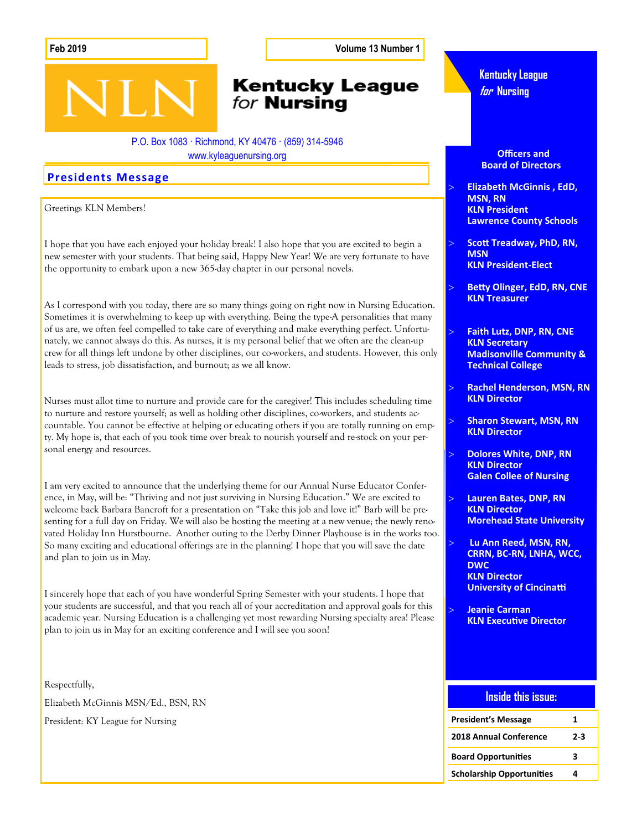**Feb 2019 Volume 13 Number 1**

### **Kentucky League** for **Nursing**

P.O. Box 1083 · Richmond, KY 40476 · (859) 314-5946 www.kyleaguenursing.org

### **Presidents Message**

Greetings KLN Members!

I hope that you have each enjoyed your holiday break! I also hope that you are excited to begin a new semester with your students. That being said, Happy New Year! We are very fortunate to have the opportunity to embark upon a new 365-day chapter in our personal novels.

As I correspond with you today, there are so many things going on right now in Nursing Education. Sometimes it is overwhelming to keep up with everything. Being the type-A personalities that many of us are, we often feel compelled to take care of everything and make everything perfect. Unfortunately, we cannot always do this. As nurses, it is my personal belief that we often are the clean-up crew for all things left undone by other disciplines, our co-workers, and students. However, this only leads to stress, job dissatisfaction, and burnout; as we all know.

Nurses must allot time to nurture and provide care for the caregiver! This includes scheduling time to nurture and restore yourself; as well as holding other disciplines, co-workers, and students accountable. You cannot be effective at helping or educating others if you are totally running on empty. My hope is, that each of you took time over break to nourish yourself and re-stock on your personal energy and resources.

I am very excited to announce that the underlying theme for our Annual Nurse Educator Conference, in May, will be: "Thriving and not just surviving in Nursing Education." We are excited to welcome back Barbara Bancroft for a presentation on "Take this job and love it!" Barb will be presenting for a full day on Friday. We will also be hosting the meeting at a new venue; the newly renovated Holiday Inn Hurstbourne. Another outing to the Derby Dinner Playhouse is in the works too. So many exciting and educational offerings are in the planning! I hope that you will save the date and plan to join us in May.

I sincerely hope that each of you have wonderful Spring Semester with your students. I hope that your students are successful, and that you reach all of your accreditation and approval goals for this academic year. Nursing Education is a challenging yet most rewarding Nursing specialty area! Please plan to join us in May for an exciting conference and I will see you soon!

Respectfully, Elizabeth McGinnis MSN/Ed., BSN, RN

President: KY League for Nursing

**Kentucky League for Nursing**

 **Officers and Board of Directors**

 **Elizabeth McGinnis , EdD, MSN, RN KLN President Lawrence County Schools** 

- **Scott Treadway, PhD, RN, MSN KLN President-Elect**
- **Betty Olinger, EdD, RN, CNE KLN Treasurer**

 **Faith Lutz, DNP, RN, CNE KLN Secretary Madisonville Community & Technical College**

- **Rachel Henderson, MSN, RN KLN Director**
- **Sharon Stewart, MSN, RN KLN Director**
- **Dolores White, DNP, RN KLN Director Galen Collee of Nursing**
- **Lauren Bates, DNP, RN KLN Director Morehead State University**
- **Lu Ann Reed, MSN, RN, CRRN, BC-RN, LNHA, WCC, DWC KLN Director University of Cincinatti**

 **Jeanie Carman KLN Executive Director**

### **Inside this issue:**

| <b>President's Message</b>       | 1     |
|----------------------------------|-------|
| <b>2018 Annual Conference</b>    | $2-3$ |
| <b>Board Opportunities</b>       | ર     |
| <b>Scholarship Opportunities</b> | Δ     |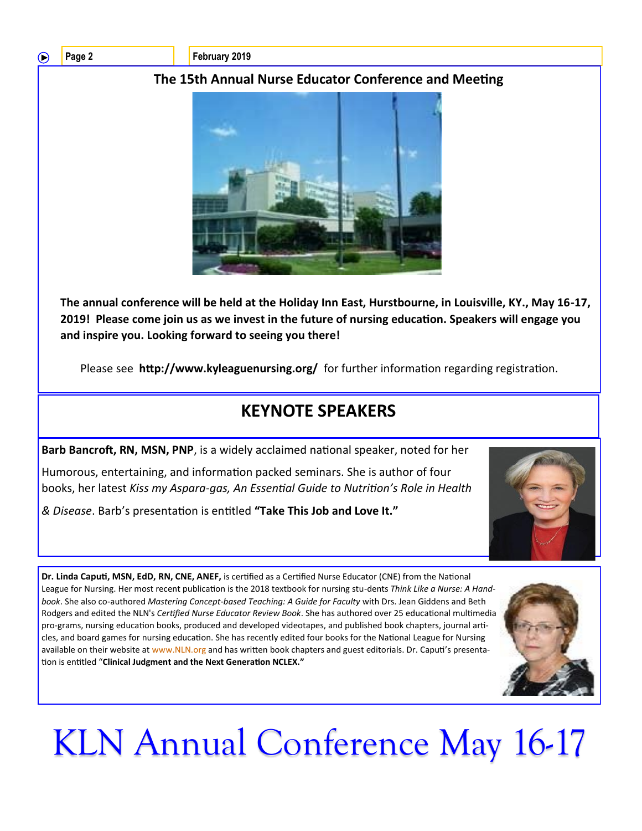### ◠

Page 2 **February 2019** 

### **The 15th Annual Nurse Educator Conference and Meeting**



**The annual conference will be held at the Holiday Inn East, Hurstbourne, in Louisville, KY., May 16-17, 2019! Please come join us as we invest in the future of nursing education. Speakers will engage you and inspire you. Looking forward to seeing you there!** 

Please see **http://www.kyleaguenursing.org/** for further information regarding registration.

# **KEYNOTE SPEAKERS**

**Barb Bancroft, RN, MSN, PNP**, is a widely acclaimed national speaker, noted for her Humorous, entertaining, and information packed seminars. She is author of four books, her latest *Kiss my Aspara-gas, An Essential Guide to Nutrition's Role in Health* 

*& Disease*. Barb's presentation is entitled **"Take This Job and Love It."** 



**Dr. Linda Caputi, MSN, EdD, RN, CNE, ANEF,** is certified as a Certified Nurse Educator (CNE) from the National League for Nursing. Her most recent publication is the 2018 textbook for nursing stu-dents *Think Like a Nurse: A Handbook*. She also co-authored *Mastering Concept-based Teaching: A Guide for Faculty* with Drs. Jean Giddens and Beth Rodgers and edited the NLN's *Certified Nurse Educator Review Book*. She has authored over 25 educational multimedia pro-grams, nursing education books, produced and developed videotapes, and published book chapters, journal articles, and board games for nursing education. She has recently edited four books for the National League for Nursing available on their website at www.NLN.org and has written book chapters and guest editorials. Dr. Caputi's presentation is entitled "**Clinical Judgment and the Next Generation NCLEX."** 



# KLN Annual Conference May 16-17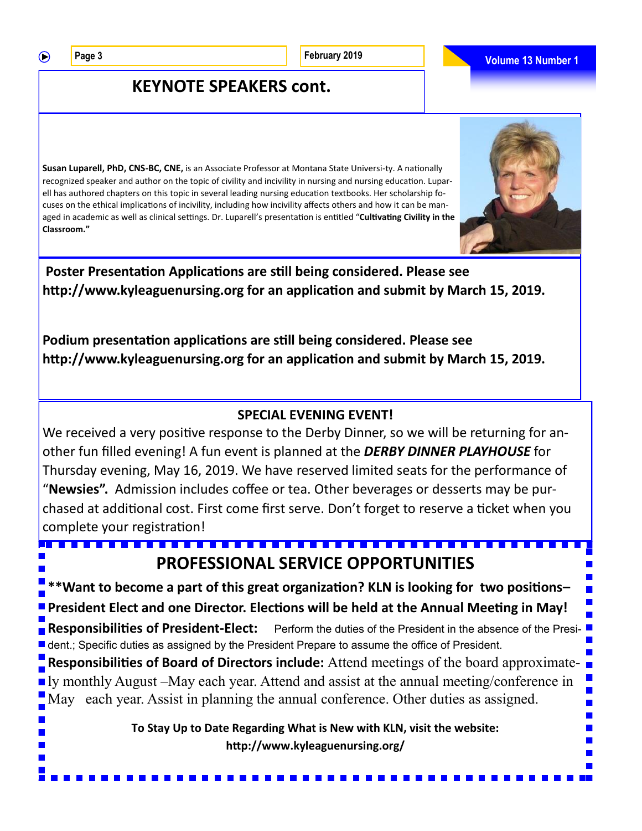$\bigcirc$ 

## **KEYNOTE SPEAKERS cont.**

**Susan Luparell, PhD, CNS-BC, CNE,** is an Associate Professor at Montana State Universi-ty. A nationally recognized speaker and author on the topic of civility and incivility in nursing and nursing education. Luparell has authored chapters on this topic in several leading nursing education textbooks. Her scholarship focuses on the ethical implications of incivility, including how incivility affects others and how it can be managed in academic as well as clinical settings. Dr. Luparell's presentation is entitled "**Cultivating Civility in the Classroom."** 

**Poster Presentation Applications are still being considered. Please see http://www.kyleaguenursing.org for an application and submit by March 15, 2019.** 

**Podium presentation applications are still being considered. Please see http://www.kyleaguenursing.org for an application and submit by March 15, 2019.** 

### **SPECIAL EVENING EVENT!**

We received a very positive response to the Derby Dinner, so we will be returning for another fun filled evening! A fun event is planned at the *DERBY DINNER PLAYHOUSE* for Thursday evening, May 16, 2019. We have reserved limited seats for the performance of "**Newsies".** Admission includes coffee or tea. Other beverages or desserts may be purchased at additional cost. First come first serve. Don't forget to reserve a ticket when you complete your registration!

**PROFESSIONAL SERVICE OPPORTUNITIES \*\*Want to become a part of this great organization? KLN is looking for two positions– President Elect and one Director. Elections will be held at the Annual Meeting in May! Responsibilities of President-Elect:** Perform the duties of the President in the absence of the Presi- ■ dent.; Specific duties as assigned by the President Prepare to assume the office of President. **Responsibilities of Board of Directors include:** Attend meetings of the board approximately monthly August –May each year. Attend and assist at the annual meeting/conference in May each year. Assist in planning the annual conference. Other duties as assigned. **To Stay Up to Date Regarding What is New with KLN, visit the website:**  $\mathbf{r}$ **http://www.kyleaguenursing.org/**